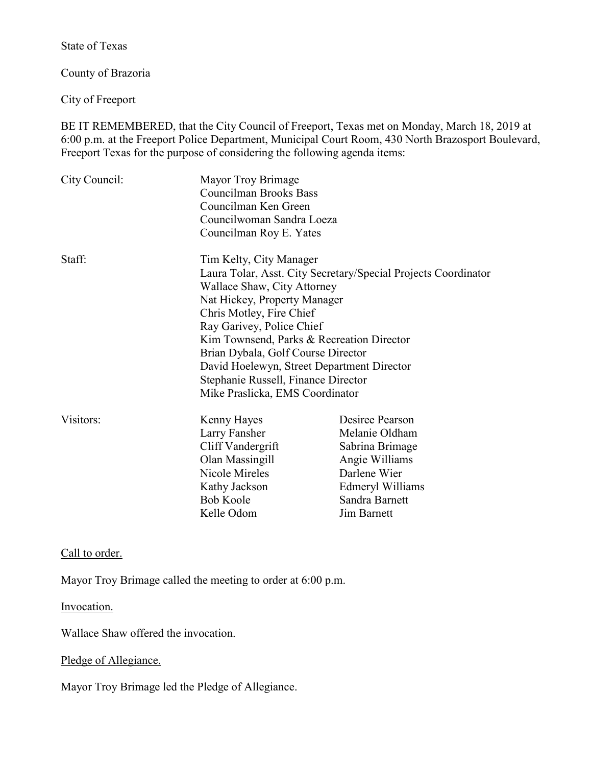State of Texas

County of Brazoria

City of Freeport

BE IT REMEMBERED, that the City Council of Freeport, Texas met on Monday, March 18, 2019 at 6:00 p.m. at the Freeport Police Department, Municipal Court Room, 430 North Brazosport Boulevard, Freeport Texas for the purpose of considering the following agenda items:

| City Council:     | Mayor Troy Brimage<br><b>Councilman Brooks Bass</b><br>Councilman Ken Green<br>Councilwoman Sandra Loeza<br>Councilman Roy E. Yates |                    |
|-------------------|-------------------------------------------------------------------------------------------------------------------------------------|--------------------|
| Staff:            | Tim Kelty, City Manager                                                                                                             |                    |
|                   | Laura Tolar, Asst. City Secretary/Special Projects Coordinator                                                                      |                    |
|                   | Wallace Shaw, City Attorney<br>Nat Hickey, Property Manager                                                                         |                    |
|                   | Chris Motley, Fire Chief                                                                                                            |                    |
|                   | Ray Garivey, Police Chief                                                                                                           |                    |
|                   | Kim Townsend, Parks & Recreation Director                                                                                           |                    |
|                   | Brian Dybala, Golf Course Director                                                                                                  |                    |
|                   | David Hoelewyn, Street Department Director<br>Stephanie Russell, Finance Director                                                   |                    |
|                   |                                                                                                                                     |                    |
|                   | Visitors:                                                                                                                           | Kenny Hayes        |
| Larry Fansher     |                                                                                                                                     | Melanie Oldham     |
| Cliff Vandergrift |                                                                                                                                     | Sabrina Brimage    |
| Olan Massingill   |                                                                                                                                     | Angie Williams     |
| Nicole Mireles    |                                                                                                                                     | Darlene Wier       |
| Kathy Jackson     |                                                                                                                                     | Edmeryl Williams   |
| <b>Bob Koole</b>  |                                                                                                                                     | Sandra Barnett     |
| Kelle Odom        |                                                                                                                                     | <b>Jim Barnett</b> |

Call to order.

Mayor Troy Brimage called the meeting to order at 6:00 p.m.

Invocation.

Wallace Shaw offered the invocation.

## Pledge of Allegiance.

Mayor Troy Brimage led the Pledge of Allegiance.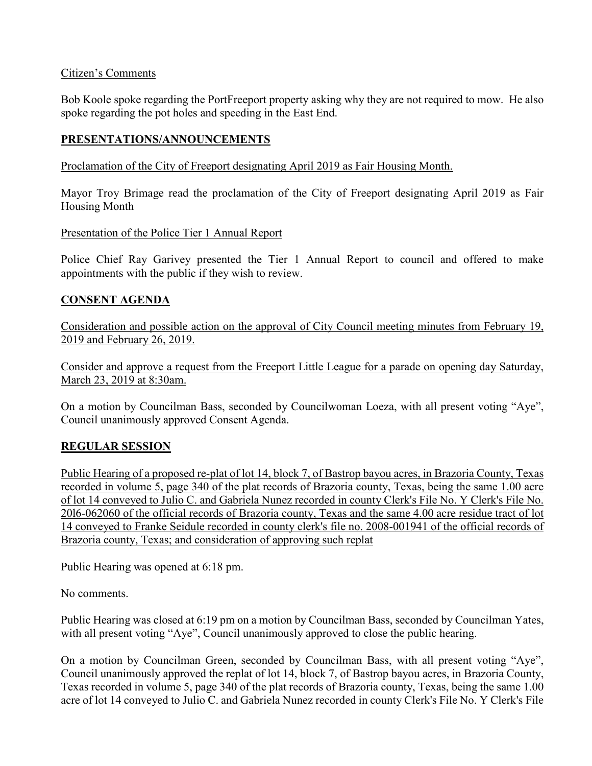## Citizen's Comments

Bob Koole spoke regarding the PortFreeport property asking why they are not required to mow. He also spoke regarding the pot holes and speeding in the East End.

# **PRESENTATIONS/ANNOUNCEMENTS**

Proclamation of the City of Freeport designating April 2019 as Fair Housing Month.

Mayor Troy Brimage read the proclamation of the City of Freeport designating April 2019 as Fair Housing Month

Presentation of the Police Tier 1 Annual Report

Police Chief Ray Garivey presented the Tier 1 Annual Report to council and offered to make appointments with the public if they wish to review.

# **CONSENT AGENDA**

Consideration and possible action on the approval of City Council meeting minutes from February 19, 2019 and February 26, 2019.

Consider and approve a request from the Freeport Little League for a parade on opening day Saturday, March 23, 2019 at 8:30am.

On a motion by Councilman Bass, seconded by Councilwoman Loeza, with all present voting "Aye", Council unanimously approved Consent Agenda.

# **REGULAR SESSION**

Public Hearing of a proposed re-plat of lot 14, block 7, of Bastrop bayou acres, in Brazoria County, Texas recorded in volume 5, page 340 of the plat records of Brazoria county, Texas, being the same 1.00 acre of lot 14 conveyed to Julio C. and Gabriela Nunez recorded in county Clerk's File No. Y Clerk's File No. 20l6-062060 of the official records of Brazoria county, Texas and the same 4.00 acre residue tract of lot 14 conveyed to Franke Seidule recorded in county clerk's file no. 2008-001941 of the official records of Brazoria county, Texas; and consideration of approving such replat

Public Hearing was opened at 6:18 pm.

No comments.

Public Hearing was closed at 6:19 pm on a motion by Councilman Bass, seconded by Councilman Yates, with all present voting "Aye", Council unanimously approved to close the public hearing.

On a motion by Councilman Green, seconded by Councilman Bass, with all present voting "Aye", Council unanimously approved the replat of lot 14, block 7, of Bastrop bayou acres, in Brazoria County, Texas recorded in volume 5, page 340 of the plat records of Brazoria county, Texas, being the same 1.00 acre of lot 14 conveyed to Julio C. and Gabriela Nunez recorded in county Clerk's File No. Y Clerk's File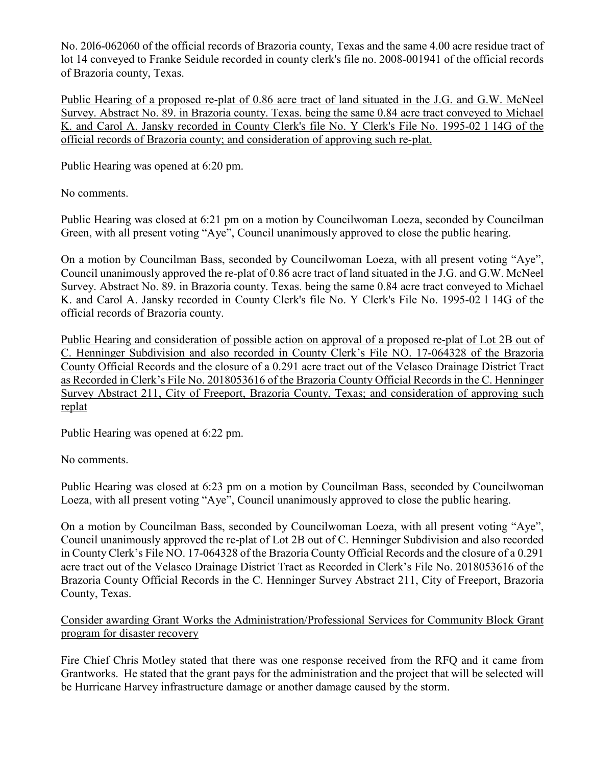No. 20l6-062060 of the official records of Brazoria county, Texas and the same 4.00 acre residue tract of lot 14 conveyed to Franke Seidule recorded in county clerk's file no. 2008-001941 of the official records of Brazoria county, Texas.

Public Hearing of a proposed re-plat of 0.86 acre tract of land situated in the J.G. and G.W. McNeel Survey. Abstract No. 89. in Brazoria county. Texas. being the same 0.84 acre tract conveyed to Michael K. and Carol A. Jansky recorded in County Clerk's file No. Y Clerk's File No. 1995-02 l 14G of the official records of Brazoria county; and consideration of approving such re-plat.

Public Hearing was opened at 6:20 pm.

No comments.

Public Hearing was closed at 6:21 pm on a motion by Councilwoman Loeza, seconded by Councilman Green, with all present voting "Aye", Council unanimously approved to close the public hearing.

On a motion by Councilman Bass, seconded by Councilwoman Loeza, with all present voting "Aye", Council unanimously approved the re-plat of 0.86 acre tract of land situated in the J.G. and G.W. McNeel Survey. Abstract No. 89. in Brazoria county. Texas. being the same 0.84 acre tract conveyed to Michael K. and Carol A. Jansky recorded in County Clerk's file No. Y Clerk's File No. 1995-02 l 14G of the official records of Brazoria county.

Public Hearing and consideration of possible action on approval of a proposed re-plat of Lot 2B out of C. Henninger Subdivision and also recorded in County Clerk's File NO. 17-064328 of the Brazoria County Official Records and the closure of a 0.291 acre tract out of the Velasco Drainage District Tract as Recorded in Clerk's File No. 2018053616 of the Brazoria County Official Records in the C. Henninger Survey Abstract 211, City of Freeport, Brazoria County, Texas; and consideration of approving such replat

Public Hearing was opened at 6:22 pm.

No comments.

Public Hearing was closed at 6:23 pm on a motion by Councilman Bass, seconded by Councilwoman Loeza, with all present voting "Aye", Council unanimously approved to close the public hearing.

On a motion by Councilman Bass, seconded by Councilwoman Loeza, with all present voting "Aye", Council unanimously approved the re-plat of Lot 2B out of C. Henninger Subdivision and also recorded in County Clerk's File NO. 17-064328 of the Brazoria County Official Records and the closure of a 0.291 acre tract out of the Velasco Drainage District Tract as Recorded in Clerk's File No. 2018053616 of the Brazoria County Official Records in the C. Henninger Survey Abstract 211, City of Freeport, Brazoria County, Texas.

Consider awarding Grant Works the Administration/Professional Services for Community Block Grant program for disaster recovery

Fire Chief Chris Motley stated that there was one response received from the RFQ and it came from Grantworks. He stated that the grant pays for the administration and the project that will be selected will be Hurricane Harvey infrastructure damage or another damage caused by the storm.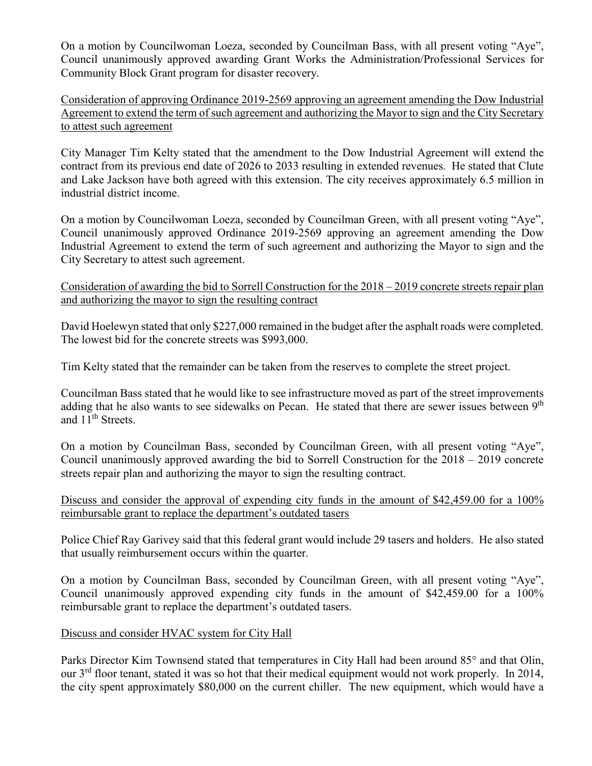On a motion by Councilwoman Loeza, seconded by Councilman Bass, with all present voting "Aye", Council unanimously approved awarding Grant Works the Administration/Professional Services for Community Block Grant program for disaster recovery.

Consideration of approving Ordinance 2019-2569 approving an agreement amending the Dow Industrial Agreement to extend the term of such agreement and authorizing the Mayor to sign and the City Secretary to attest such agreement

City Manager Tim Kelty stated that the amendment to the Dow Industrial Agreement will extend the contract from its previous end date of 2026 to 2033 resulting in extended revenues. He stated that Clute and Lake Jackson have both agreed with this extension. The city receives approximately 6.5 million in industrial district income.

On a motion by Councilwoman Loeza, seconded by Councilman Green, with all present voting "Aye", Council unanimously approved Ordinance 2019-2569 approving an agreement amending the Dow Industrial Agreement to extend the term of such agreement and authorizing the Mayor to sign and the City Secretary to attest such agreement.

Consideration of awarding the bid to Sorrell Construction for the 2018 – 2019 concrete streets repair plan and authorizing the mayor to sign the resulting contract

David Hoelewyn stated that only \$227,000 remained in the budget after the asphalt roads were completed. The lowest bid for the concrete streets was \$993,000.

Tim Kelty stated that the remainder can be taken from the reserves to complete the street project.

Councilman Bass stated that he would like to see infrastructure moved as part of the street improvements adding that he also wants to see sidewalks on Pecan. He stated that there are sewer issues between 9<sup>th</sup> and 11<sup>th</sup> Streets.

On a motion by Councilman Bass, seconded by Councilman Green, with all present voting "Aye", Council unanimously approved awarding the bid to Sorrell Construction for the 2018 – 2019 concrete streets repair plan and authorizing the mayor to sign the resulting contract.

Discuss and consider the approval of expending city funds in the amount of \$42,459.00 for a 100% reimbursable grant to replace the department's outdated tasers

Police Chief Ray Garivey said that this federal grant would include 29 tasers and holders. He also stated that usually reimbursement occurs within the quarter.

On a motion by Councilman Bass, seconded by Councilman Green, with all present voting "Aye", Council unanimously approved expending city funds in the amount of \$42,459.00 for a 100% reimbursable grant to replace the department's outdated tasers.

# Discuss and consider HVAC system for City Hall

Parks Director Kim Townsend stated that temperatures in City Hall had been around 85° and that Olin, our  $3<sup>rd</sup>$  floor tenant, stated it was so hot that their medical equipment would not work properly. In 2014, the city spent approximately \$80,000 on the current chiller. The new equipment, which would have a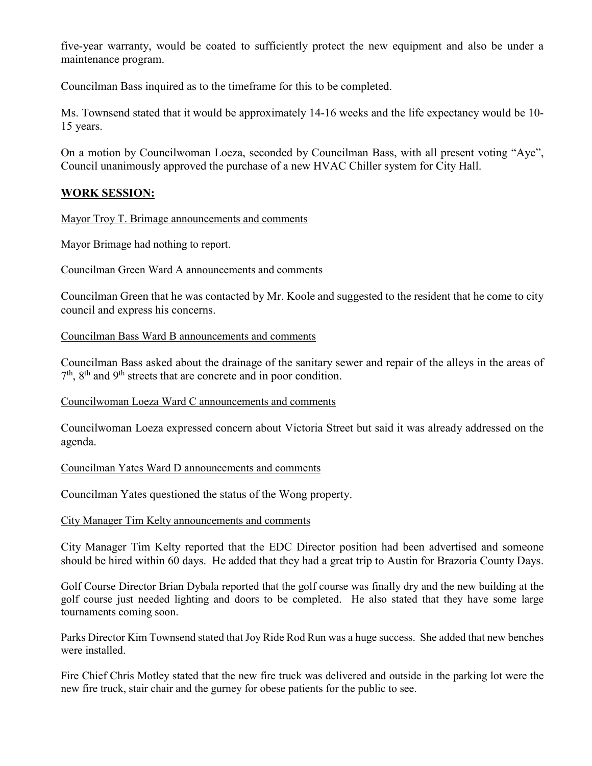five-year warranty, would be coated to sufficiently protect the new equipment and also be under a maintenance program.

Councilman Bass inquired as to the timeframe for this to be completed.

Ms. Townsend stated that it would be approximately 14-16 weeks and the life expectancy would be 10- 15 years.

On a motion by Councilwoman Loeza, seconded by Councilman Bass, with all present voting "Aye", Council unanimously approved the purchase of a new HVAC Chiller system for City Hall.

# **WORK SESSION:**

Mayor Troy T. Brimage announcements and comments

Mayor Brimage had nothing to report.

Councilman Green Ward A announcements and comments

Councilman Green that he was contacted by Mr. Koole and suggested to the resident that he come to city council and express his concerns.

Councilman Bass Ward B announcements and comments

Councilman Bass asked about the drainage of the sanitary sewer and repair of the alleys in the areas of  $7<sup>th</sup>$ ,  $8<sup>th</sup>$  and  $9<sup>th</sup>$  streets that are concrete and in poor condition.

Councilwoman Loeza Ward C announcements and comments

Councilwoman Loeza expressed concern about Victoria Street but said it was already addressed on the agenda.

### Councilman Yates Ward D announcements and comments

Councilman Yates questioned the status of the Wong property.

City Manager Tim Kelty announcements and comments

City Manager Tim Kelty reported that the EDC Director position had been advertised and someone should be hired within 60 days. He added that they had a great trip to Austin for Brazoria County Days.

Golf Course Director Brian Dybala reported that the golf course was finally dry and the new building at the golf course just needed lighting and doors to be completed. He also stated that they have some large tournaments coming soon.

Parks Director Kim Townsend stated that Joy Ride Rod Run was a huge success. She added that new benches were installed.

Fire Chief Chris Motley stated that the new fire truck was delivered and outside in the parking lot were the new fire truck, stair chair and the gurney for obese patients for the public to see.